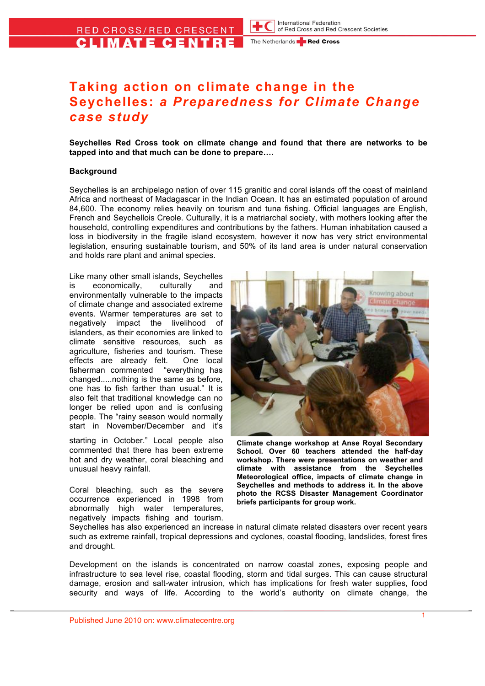The Netherlands **Red Cross** 

# **Taking action on climate change in the Seychelles:** *a Preparedness for Climate Change case study*

**Seychelles Red Cross took on climate change and found that there are networks to be tapped into and that much can be done to prepare….**

#### **Background**

Seychelles is an archipelago nation of over 115 granitic and coral islands off the coast of mainland Africa and northeast of Madagascar in the Indian Ocean. It has an estimated population of around 84,600. The economy relies heavily on tourism and tuna fishing. Official languages are English, French and Seychellois Creole. Culturally, it is a matriarchal society, with mothers looking after the household, controlling expenditures and contributions by the fathers. Human inhabitation caused a loss in biodiversity in the fragile island ecosystem, however it now has very strict environmental legislation, ensuring sustainable tourism, and 50% of its land area is under natural conservation and holds rare plant and animal species.

Like many other small islands, Seychelles is economically, culturally and environmentally vulnerable to the impacts of climate change and associated extreme events. Warmer temperatures are set to negatively impact the livelihood of islanders, as their economies are linked to climate sensitive resources, such as agriculture, fisheries and tourism. These effects are already felt. One local fisherman commented "everything has changed.....nothing is the same as before, one has to fish farther than usual." It is also felt that traditional knowledge can no longer be relied upon and is confusing people. The "rainy season would normally start in November/December and it's

starting in October." Local people also commented that there has been extreme hot and dry weather, coral bleaching and unusual heavy rainfall.

Coral bleaching, such as the severe occurrence experienced in 1998 from abnormally high water temperatures, negatively impacts fishing and tourism.



**Climate change workshop at Anse Royal Secondary School. Over 60 teachers attended the half-day workshop. There were presentations on weather and climate with assistance from the Seychelles Meteorological office, impacts of climate change in Seychelles and methods to address it. In the above photo the RCSS Disaster Management Coordinator briefs participants for group work.** 

Seychelles has also experienced an increase in natural climate related disasters over recent years such as extreme rainfall, tropical depressions and cyclones, coastal flooding, landslides, forest fires and drought.

Development on the islands is concentrated on narrow coastal zones, exposing people and infrastructure to sea level rise, coastal flooding, storm and tidal surges. This can cause structural damage, erosion and salt-water intrusion, which has implications for fresh water supplies, food security and ways of life. According to the world's authority on climate change, the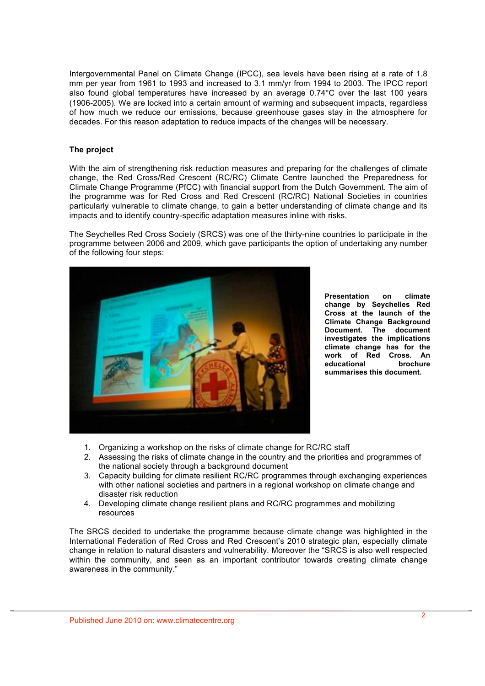Intergovernmental Panel on Climate Change (IPCC), sea levels have been rising at a rate of 1.8 mm per year from 1961 to 1993 and increased to 3.1 mm/yr from 1994 to 2003. The IPCC report also found global temperatures have increased by an average 0.74°C over the last 100 years (1906-2005). We are locked into a certain amount of warming and subsequent impacts, regardless of how much we reduce our emissions, because greenhouse gases stay in the atmosphere for decades. For this reason adaptation to reduce impacts of the changes will be necessary.

## **The project**

With the aim of strengthening risk reduction measures and preparing for the challenges of climate change, the Red Cross/Red Crescent (RC/RC) Climate Centre launched the Preparedness for Climate Change Programme (PfCC) with financial support from the Dutch Government. The aim of the programme was for Red Cross and Red Crescent (RC/RC) National Societies in countries particularly vulnerable to climate change, to gain a better understanding of climate change and its impacts and to identify country-specific adaptation measures inline with risks.

The Seychelles Red Cross Society (SRCS) was one of the thirty-nine countries to participate in the programme between 2006 and 2009, which gave participants the option of undertaking any number of the following four steps:



**Presentation on climate change by Seychelles Red Cross at the launch of the Climate Change Background Document. The document investigates the implications climate change has for the work of Red Cross. An educational brochure summarises this document.** 

- 1. Organizing a workshop on the risks of climate change for RC/RC staff
- 2. Assessing the risks of climate change in the country and the priorities and programmes of the national society through a background document
- 3. Capacity building for climate resilient RC/RC programmes through exchanging experiences with other national societies and partners in a regional workshop on climate change and disaster risk reduction
- 4. Developing climate change resilient plans and RC/RC programmes and mobilizing resources

The SRCS decided to undertake the programme because climate change was highlighted in the International Federation of Red Cross and Red Crescent's 2010 strategic plan, especially climate change in relation to natural disasters and vulnerability. Moreover the "SRCS is also well respected within the community, and seen as an important contributor towards creating climate change awareness in the community."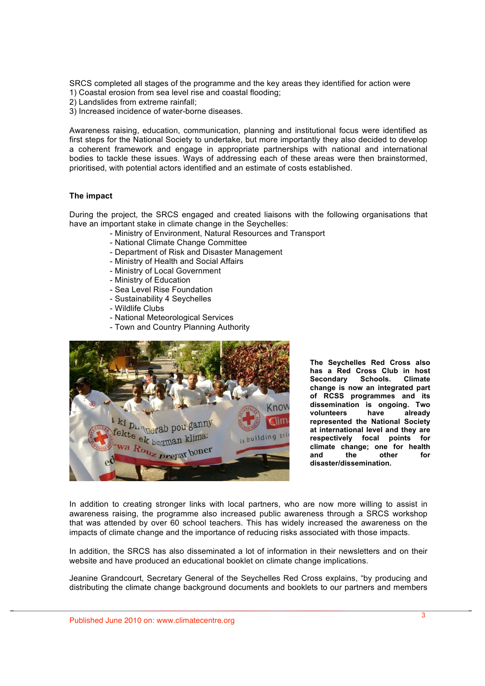SRCS completed all stages of the programme and the key areas they identified for action were 1) Coastal erosion from sea level rise and coastal flooding;

- 2) Landslides from extreme rainfall;
- 3) Increased incidence of water-borne diseases.

Awareness raising, education, communication, planning and institutional focus were identified as first steps for the National Society to undertake, but more importantly they also decided to develop a coherent framework and engage in appropriate partnerships with national and international bodies to tackle these issues. Ways of addressing each of these areas were then brainstormed, prioritised, with potential actors identified and an estimate of costs established.

#### **The impact**

During the project, the SRCS engaged and created liaisons with the following organisations that have an important stake in climate change in the Seychelles:

- Ministry of Environment, Natural Resources and Transport
- National Climate Change Committee
- Department of Risk and Disaster Management
- Ministry of Health and Social Affairs
- Ministry of Local Government
- Ministry of Education
- Sea Level Rise Foundation
- Sustainability 4 Seychelles
- Wildlife Clubs
- National Meteorological Services
- Town and Country Planning Authority



**The Seychelles Red Cross also has a Red Cross Club in host Secondary Schools. Climate change is now an integrated part of RCSS programmes and its dissemination is ongoing. Two volunteers have already represented the National Society at international level and they are respectively focal points for climate change; one for health and the other for disaster/dissemination.**

In addition to creating stronger links with local partners, who are now more willing to assist in awareness raising, the programme also increased public awareness through a SRCS workshop that was attended by over 60 school teachers. This has widely increased the awareness on the impacts of climate change and the importance of reducing risks associated with those impacts.

In addition, the SRCS has also disseminated a lot of information in their newsletters and on their website and have produced an educational booklet on climate change implications.

Jeanine Grandcourt, Secretary General of the Seychelles Red Cross explains, "by producing and distributing the climate change background documents and booklets to our partners and members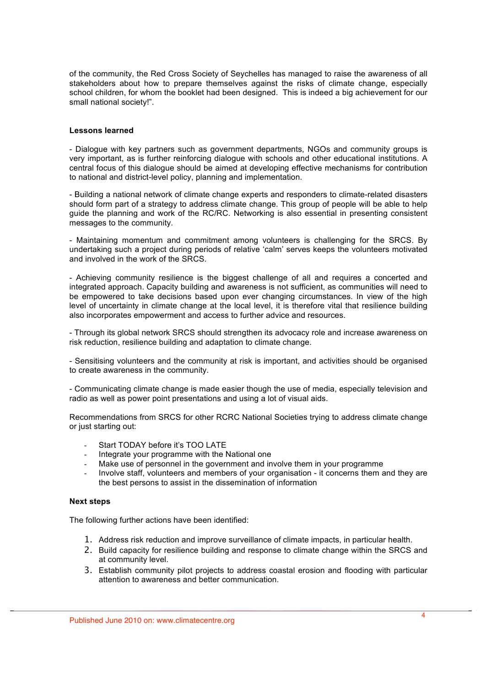of the community, the Red Cross Society of Seychelles has managed to raise the awareness of all stakeholders about how to prepare themselves against the risks of climate change, especially school children, for whom the booklet had been designed. This is indeed a big achievement for our small national society!".

### **Lessons learned**

- Dialogue with key partners such as government departments, NGOs and community groups is very important, as is further reinforcing dialogue with schools and other educational institutions. A central focus of this dialogue should be aimed at developing effective mechanisms for contribution to national and district-level policy, planning and implementation.

- Building a national network of climate change experts and responders to climate-related disasters should form part of a strategy to address climate change. This group of people will be able to help guide the planning and work of the RC/RC. Networking is also essential in presenting consistent messages to the community.

- Maintaining momentum and commitment among volunteers is challenging for the SRCS. By undertaking such a project during periods of relative 'calm' serves keeps the volunteers motivated and involved in the work of the SRCS.

- Achieving community resilience is the biggest challenge of all and requires a concerted and integrated approach. Capacity building and awareness is not sufficient, as communities will need to be empowered to take decisions based upon ever changing circumstances. In view of the high level of uncertainty in climate change at the local level, it is therefore vital that resilience building also incorporates empowerment and access to further advice and resources.

- Through its global network SRCS should strengthen its advocacy role and increase awareness on risk reduction, resilience building and adaptation to climate change.

- Sensitising volunteers and the community at risk is important, and activities should be organised to create awareness in the community.

- Communicating climate change is made easier though the use of media, especially television and radio as well as power point presentations and using a lot of visual aids.

Recommendations from SRCS for other RCRC National Societies trying to address climate change or just starting out:

- Start TODAY before it's TOO LATE
- Integrate your programme with the National one
- Make use of personnel in the government and involve them in your programme
- Involve staff, volunteers and members of your organisation it concerns them and they are the best persons to assist in the dissemination of information

#### **Next steps**

The following further actions have been identified:

- 1. Address risk reduction and improve surveillance of climate impacts, in particular health.
- 2. Build capacity for resilience building and response to climate change within the SRCS and at community level.
- 3. Establish community pilot projects to address coastal erosion and flooding with particular attention to awareness and better communication.